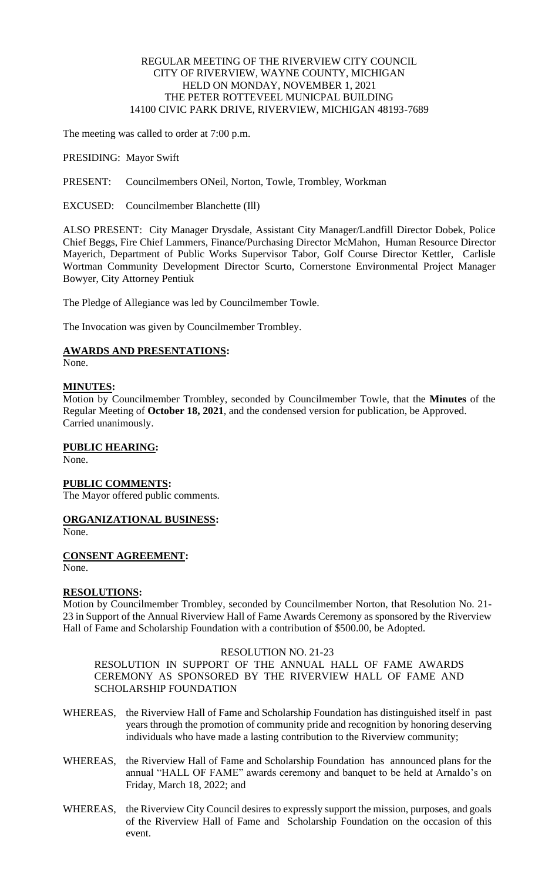## REGULAR MEETING OF THE RIVERVIEW CITY COUNCIL CITY OF RIVERVIEW, WAYNE COUNTY, MICHIGAN HELD ON MONDAY, NOVEMBER 1, 2021 THE PETER ROTTEVEEL MUNICPAL BUILDING 14100 CIVIC PARK DRIVE, RIVERVIEW, MICHIGAN 48193-7689

The meeting was called to order at 7:00 p.m.

PRESIDING: Mayor Swift

PRESENT: Councilmembers ONeil, Norton, Towle, Trombley, Workman

EXCUSED: Councilmember Blanchette (Ill)

ALSO PRESENT: City Manager Drysdale, Assistant City Manager/Landfill Director Dobek, Police Chief Beggs, Fire Chief Lammers, Finance/Purchasing Director McMahon, Human Resource Director Mayerich, Department of Public Works Supervisor Tabor, Golf Course Director Kettler, Carlisle Wortman Community Development Director Scurto, Cornerstone Environmental Project Manager Bowyer, City Attorney Pentiuk

The Pledge of Allegiance was led by Councilmember Towle.

The Invocation was given by Councilmember Trombley.

## **AWARDS AND PRESENTATIONS:**

None.

## **MINUTES:**

Motion by Councilmember Trombley, seconded by Councilmember Towle, that the **Minutes** of the Regular Meeting of **October 18, 2021**, and the condensed version for publication, be Approved. Carried unanimously.

## **PUBLIC HEARING:**

None.

## **PUBLIC COMMENTS:**

The Mayor offered public comments.

# **ORGANIZATIONAL BUSINESS:**

None.

**CONSENT AGREEMENT:** None.

## **RESOLUTIONS:**

Motion by Councilmember Trombley, seconded by Councilmember Norton, that Resolution No. 21- 23 in Support of the Annual Riverview Hall of Fame Awards Ceremony as sponsored by the Riverview Hall of Fame and Scholarship Foundation with a contribution of \$500.00, be Adopted.

#### RESOLUTION NO. 21-23

RESOLUTION IN SUPPORT OF THE ANNUAL HALL OF FAME AWARDS CEREMONY AS SPONSORED BY THE RIVERVIEW HALL OF FAME AND SCHOLARSHIP FOUNDATION

- WHEREAS, the Riverview Hall of Fame and Scholarship Foundation has distinguished itself in past years through the promotion of community pride and recognition by honoring deserving individuals who have made a lasting contribution to the Riverview community;
- WHEREAS, the Riverview Hall of Fame and Scholarship Foundation has announced plans for the annual "HALL OF FAME" awards ceremony and banquet to be held at Arnaldo's on Friday, March 18, 2022; and
- WHEREAS, the Riverview City Council desires to expressly support the mission, purposes, and goals of the Riverview Hall of Fame and Scholarship Foundation on the occasion of this event.